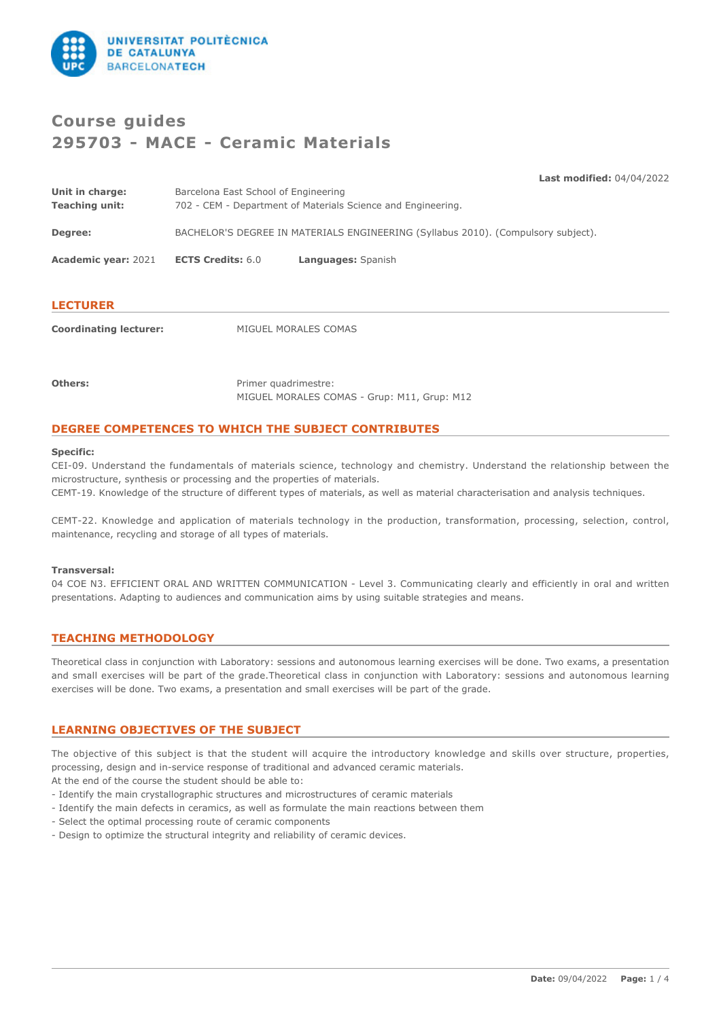

# **Course guides 295703 - MACE - Ceramic Materials**

**Last modified:** 04/04/2022

| <b>LECTURER</b>                          |                                                                                                      |                    |  |
|------------------------------------------|------------------------------------------------------------------------------------------------------|--------------------|--|
| <b>Academic year: 2021</b>               | <b>ECTS Credits: 6.0</b>                                                                             | Languages: Spanish |  |
| Degree:                                  | BACHELOR'S DEGREE IN MATERIALS ENGINEERING (Syllabus 2010). (Compulsory subject).                    |                    |  |
| Unit in charge:<br><b>Teaching unit:</b> | Barcelona East School of Engineering<br>702 - CEM - Department of Materials Science and Engineering. |                    |  |

**Coordinating lecturer:** MIGUEL MORALES COMAS

**Others:** Primer quadrimestre: MIGUEL MORALES COMAS - Grup: M11, Grup: M12

# **DEGREE COMPETENCES TO WHICH THE SUBJECT CONTRIBUTES**

#### **Specific:**

CEI-09. Understand the fundamentals of materials science, technology and chemistry. Understand the relationship between the microstructure, synthesis or processing and the properties of materials. CEMT-19. Knowledge of the structure of different types of materials, as well as material characterisation and analysis techniques.

CEMT-22. Knowledge and application of materials technology in the production, transformation, processing, selection, control, maintenance, recycling and storage of all types of materials.

#### **Transversal:**

04 COE N3. EFFICIENT ORAL AND WRITTEN COMMUNICATION - Level 3. Communicating clearly and efficiently in oral and written presentations. Adapting to audiences and communication aims by using suitable strategies and means.

### **TEACHING METHODOLOGY**

Theoretical class in conjunction with Laboratory: sessions and autonomous learning exercises will be done. Two exams, a presentation and small exercises will be part of the grade.Theoretical class in conjunction with Laboratory: sessions and autonomous learning exercises will be done. Two exams, a presentation and small exercises will be part of the grade.

# **LEARNING OBJECTIVES OF THE SUBJECT**

The objective of this subject is that the student will acquire the introductory knowledge and skills over structure, properties, processing, design and in-service response of traditional and advanced ceramic materials.

At the end of the course the student should be able to:

- Identify the main crystallographic structures and microstructures of ceramic materials
- Identify the main defects in ceramics, as well as formulate the main reactions between them
- Select the optimal processing route of ceramic components
- Design to optimize the structural integrity and reliability of ceramic devices.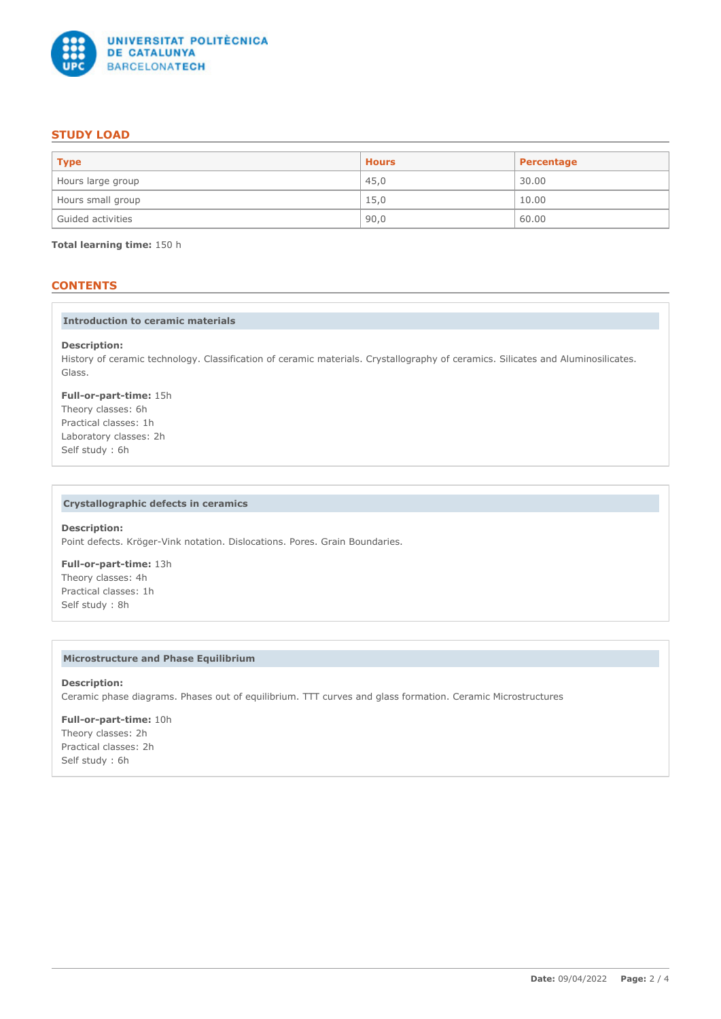

# **STUDY LOAD**

| <b>Type</b>       | <b>Hours</b> | Percentage |
|-------------------|--------------|------------|
| Hours large group | 45,0         | 30.00      |
| Hours small group | 15,0         | 10.00      |
| Guided activities | 90,0         | 60.00      |

**Total learning time:** 150 h

# **CONTENTS**

#### **Introduction to ceramic materials**

#### **Description:**

History of ceramic technology. Classification of ceramic materials. Crystallography of ceramics. Silicates and Aluminosilicates. Glass.

### **Full-or-part-time:** 15h Theory classes: 6h

Practical classes: 1h Laboratory classes: 2h Self study : 6h

### **Crystallographic defects in ceramics**

### **Description:**

Point defects. Kröger-Vink notation. Dislocations. Pores. Grain Boundaries.

**Full-or-part-time:** 13h Theory classes: 4h Practical classes: 1h Self study : 8h

### **Microstructure and Phase Equilibrium**

**Description:** Ceramic phase diagrams. Phases out of equilibrium. TTT curves and glass formation. Ceramic Microstructures

### **Full-or-part-time:** 10h Theory classes: 2h Practical classes: 2h Self study : 6h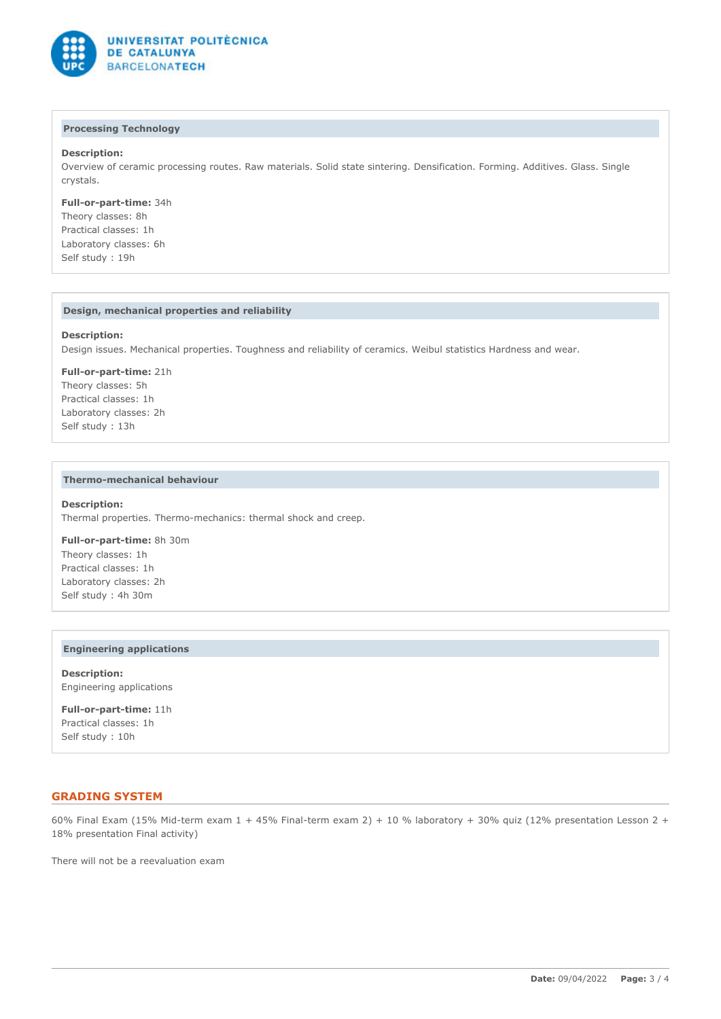

### **Processing Technology**

### **Description:**

Overview of ceramic processing routes. Raw materials. Solid state sintering. Densification. Forming. Additives. Glass. Single crystals.

**Full-or-part-time:** 34h Theory classes: 8h Practical classes: 1h Laboratory classes: 6h Self study : 19h

### **Design, mechanical properties and reliability**

#### **Description:**

Design issues. Mechanical properties. Toughness and reliability of ceramics. Weibul statistics Hardness and wear.

**Full-or-part-time:** 21h Theory classes: 5h Practical classes: 1h Laboratory classes: 2h Self study : 13h

#### **Thermo-mechanical behaviour**

#### **Description:**

Thermal properties. Thermo-mechanics: thermal shock and creep.

**Full-or-part-time:** 8h 30m Theory classes: 1h Practical classes: 1h Laboratory classes: 2h Self study : 4h 30m

#### **Engineering applications**

**Description:** Engineering applications

**Full-or-part-time:** 11h Practical classes: 1h Self study : 10h

### **GRADING SYSTEM**

60% Final Exam (15% Mid-term exam 1 + 45% Final-term exam 2) + 10 % laboratory + 30% quiz (12% presentation Lesson 2 + 18% presentation Final activity)

There will not be a reevaluation exam